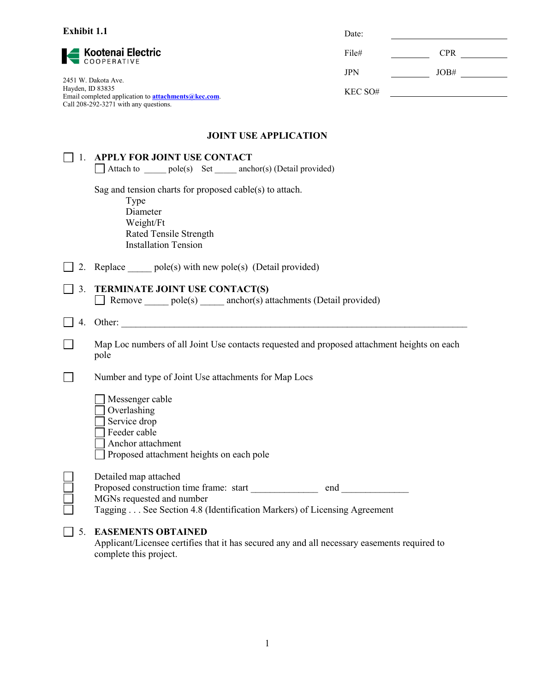| <b>Exhibit 1.1</b>                                                                                                                                                                             |                                                                                                                                                          | Date:      |      |
|------------------------------------------------------------------------------------------------------------------------------------------------------------------------------------------------|----------------------------------------------------------------------------------------------------------------------------------------------------------|------------|------|
| <b>  Kootenai Electric</b><br>  COOPERATIVE<br>2451 W. Dakota Ave.<br>Hayden, ID 83835<br>Email completed application to <b>attachments@kec.com</b> .<br>Call 208-292-3271 with any questions. |                                                                                                                                                          | File#      |      |
|                                                                                                                                                                                                |                                                                                                                                                          | <b>JPN</b> | JOB# |
|                                                                                                                                                                                                |                                                                                                                                                          | KEC SO#    |      |
|                                                                                                                                                                                                | <b>JOINT USE APPLICATION</b>                                                                                                                             |            |      |
| $\mathbf{1}$ .                                                                                                                                                                                 | <b>APPLY FOR JOINT USE CONTACT</b><br>Attach to ______ pole(s) Set _____ anchor(s) (Detail provided)                                                     |            |      |
|                                                                                                                                                                                                | Sag and tension charts for proposed cable(s) to attach.<br>Type<br>Diameter<br>Weight/Ft<br><b>Rated Tensile Strength</b><br><b>Installation Tension</b> |            |      |
| 2.                                                                                                                                                                                             | Replace $pole(s)$ with new pole(s) (Detail provided)                                                                                                     |            |      |
| 3.                                                                                                                                                                                             | TERMINATE JOINT USE CONTACT(S)<br>Remove pole(s) anchor(s) attachments (Detail provided)                                                                 |            |      |
| 4.                                                                                                                                                                                             |                                                                                                                                                          |            |      |
|                                                                                                                                                                                                | Map Loc numbers of all Joint Use contacts requested and proposed attachment heights on each<br>pole                                                      |            |      |
|                                                                                                                                                                                                | Number and type of Joint Use attachments for Map Locs                                                                                                    |            |      |
|                                                                                                                                                                                                | Messenger cable<br>Overlashing<br>Service drop<br>Feeder cable<br>Anchor attachment<br>Proposed attachment heights on each pole                          |            |      |
|                                                                                                                                                                                                | Detailed map attached<br>MGNs requested and number<br>Tagging See Section 4.8 (Identification Markers) of Licensing Agreement                            |            |      |
| 5.                                                                                                                                                                                             | <b>EASEMENTS OBTAINED</b><br>Applicant/Licensee certifies that it has secured any and all necessary easements required to<br>complete this project.      |            |      |

1